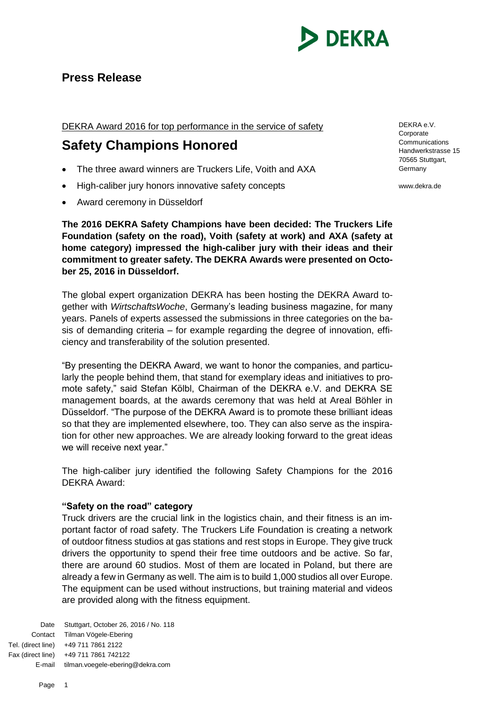

# **Press Release**

# DEKRA Award 2016 for top performance in the service of safety

# **Safety Champions Honored**

- The three award winners are Truckers Life, Voith and AXA
- High-caliber jury honors innovative safety concepts
- Award ceremony in Düsseldorf

**The 2016 DEKRA Safety Champions have been decided: The Truckers Life Foundation (safety on the road), Voith (safety at work) and AXA (safety at home category) impressed the high-caliber jury with their ideas and their commitment to greater safety. The DEKRA Awards were presented on October 25, 2016 in Düsseldorf.** 

The global expert organization DEKRA has been hosting the DEKRA Award together with *WirtschaftsWoche*, Germany's leading business magazine, for many years. Panels of experts assessed the submissions in three categories on the basis of demanding criteria – for example regarding the degree of innovation, efficiency and transferability of the solution presented.

"By presenting the DEKRA Award, we want to honor the companies, and particularly the people behind them, that stand for exemplary ideas and initiatives to promote safety," said Stefan Kölbl, Chairman of the DEKRA e.V. and DEKRA SE management boards, at the awards ceremony that was held at Areal Böhler in Düsseldorf. "The purpose of the DEKRA Award is to promote these brilliant ideas so that they are implemented elsewhere, too. They can also serve as the inspiration for other new approaches. We are already looking forward to the great ideas we will receive next year."

The high-caliber jury identified the following Safety Champions for the 2016 DEKRA Award:

## **"Safety on the road" category**

Truck drivers are the crucial link in the logistics chain, and their fitness is an important factor of road safety. The Truckers Life Foundation is creating a network of outdoor fitness studios at gas stations and rest stops in Europe. They give truck drivers the opportunity to spend their free time outdoors and be active. So far, there are around 60 studios. Most of them are located in Poland, but there are already a few in Germany as well. The aim is to build 1,000 studios all over Europe. The equipment can be used without instructions, but training material and videos are provided along with the fitness equipment.

Date Stuttgart, October 26, 2016 / No. 118 Contact Tilman Vögele-Ebering Tel. (direct line) +49 711 7861 2122 Fax (direct line) +49 711 7861 742122 E-mail tilman.voegele-ebering@dekra.com

DEKRA e.V. Corporate **Communications** Handwerkstrasse 15 70565 Stuttgart, Germany

www.dekra.de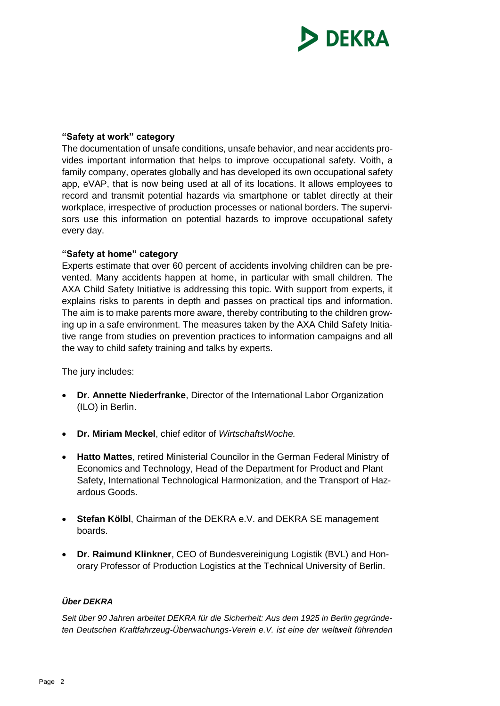

### **"Safety at work" category**

The documentation of unsafe conditions, unsafe behavior, and near accidents provides important information that helps to improve occupational safety. Voith, a family company, operates globally and has developed its own occupational safety app, eVAP, that is now being used at all of its locations. It allows employees to record and transmit potential hazards via smartphone or tablet directly at their workplace, irrespective of production processes or national borders. The supervisors use this information on potential hazards to improve occupational safety every day.

### **"Safety at home" category**

Experts estimate that over 60 percent of accidents involving children can be prevented. Many accidents happen at home, in particular with small children. The AXA Child Safety Initiative is addressing this topic. With support from experts, it explains risks to parents in depth and passes on practical tips and information. The aim is to make parents more aware, thereby contributing to the children growing up in a safe environment. The measures taken by the AXA Child Safety Initiative range from studies on prevention practices to information campaigns and all the way to child safety training and talks by experts.

The jury includes:

- **Dr. Annette Niederfranke**, Director of the International Labor Organization (ILO) in Berlin.
- **Dr. Miriam Meckel**, chief editor of *WirtschaftsWoche.*
- **Hatto Mattes**, retired Ministerial Councilor in the German Federal Ministry of Economics and Technology, Head of the Department for Product and Plant Safety, International Technological Harmonization, and the Transport of Hazardous Goods.
- **Stefan Kölbl**, Chairman of the DEKRA e.V. and DEKRA SE management boards.
- **Dr. Raimund Klinkner**, CEO of Bundesvereinigung Logistik (BVL) and Honorary Professor of Production Logistics at the Technical University of Berlin.

### *Über DEKRA*

*Seit über 90 Jahren arbeitet DEKRA für die Sicherheit: Aus dem 1925 in Berlin gegründeten Deutschen Kraftfahrzeug-Überwachungs-Verein e.V. ist eine der weltweit führenden*